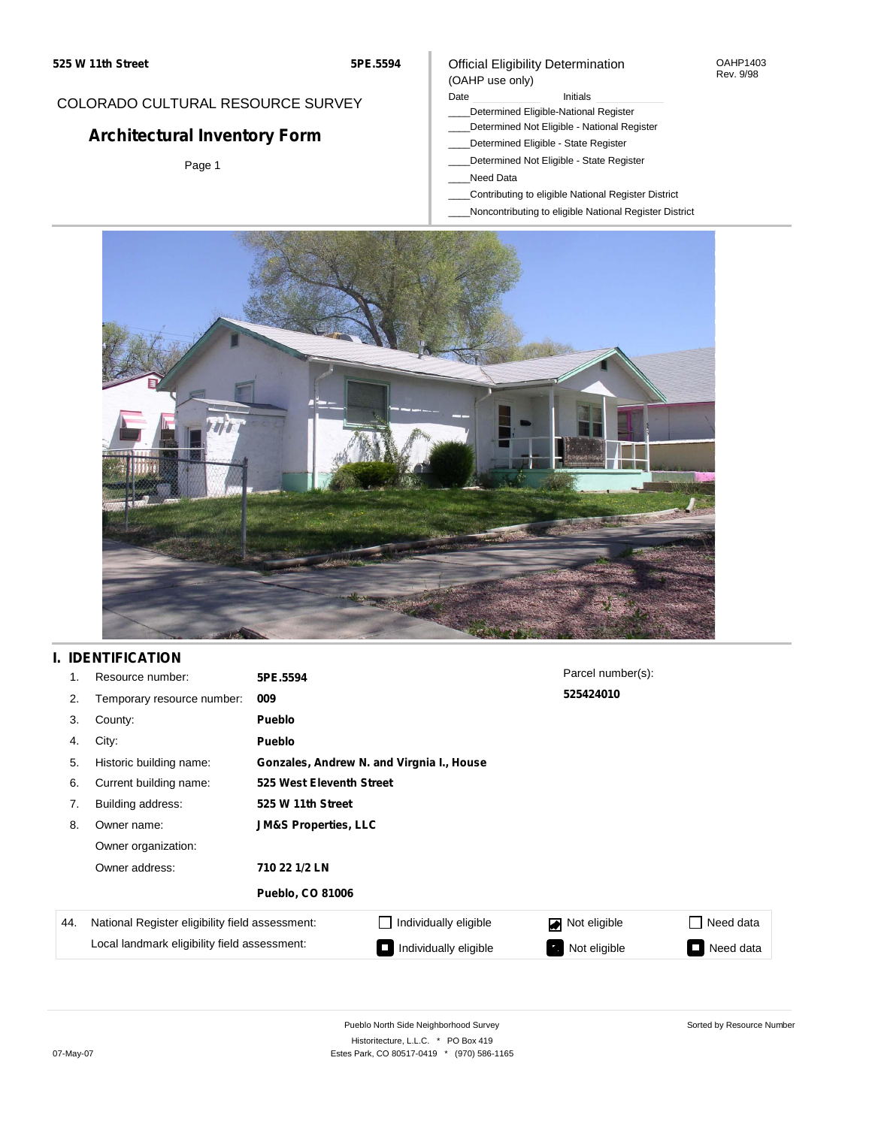## COLORADO CULTURAL RESOURCE SURVEY

# **Architectural Inventory Form**

Page 1

### Official Eligibility Determination (OAHP use only)

#### Date **Initials** Initials

- \_\_\_\_Determined Eligible-National Register
- \_\_\_\_Determined Not Eligible National Register
- \_\_\_\_Determined Eligible State Register
- \_\_\_\_Determined Not Eligible State Register
- \_\_\_\_Need Data
- \_\_\_\_Contributing to eligible National Register District
- \_\_\_\_Noncontributing to eligible National Register District



## **I. IDENTIFICATION**

| 1.  | Resource number:                                | 5PE.5594                        |                                           | Parcel number(s): |                  |  |  |  |  |  |
|-----|-------------------------------------------------|---------------------------------|-------------------------------------------|-------------------|------------------|--|--|--|--|--|
| 2.  | Temporary resource number:                      | 009                             |                                           | 525424010         |                  |  |  |  |  |  |
| 3.  | County:                                         | Pueblo                          |                                           |                   |                  |  |  |  |  |  |
| 4.  | City:                                           | Pueblo                          |                                           |                   |                  |  |  |  |  |  |
| 5.  | Historic building name:                         |                                 | Gonzales, Andrew N. and Virgnia I., House |                   |                  |  |  |  |  |  |
| 6.  | Current building name:                          |                                 | 525 West Eleventh Street                  |                   |                  |  |  |  |  |  |
| 7.  | Building address:                               | 525 W 11th Street               |                                           |                   |                  |  |  |  |  |  |
| 8.  | Owner name:                                     | <b>JM&amp;S Properties, LLC</b> |                                           |                   |                  |  |  |  |  |  |
|     | Owner organization:                             |                                 |                                           |                   |                  |  |  |  |  |  |
|     | Owner address:                                  | 710 22 1/2 LN                   |                                           |                   |                  |  |  |  |  |  |
|     |                                                 | <b>Pueblo, CO 81006</b>         |                                           |                   |                  |  |  |  |  |  |
| 44. | National Register eligibility field assessment: |                                 | Individually eligible                     | Not eligible      | Need data<br>- 1 |  |  |  |  |  |
|     | Local landmark eligibility field assessment:    |                                 | Individually eligible                     | Not eligible      | Need data        |  |  |  |  |  |

OAHP1403 Rev. 9/98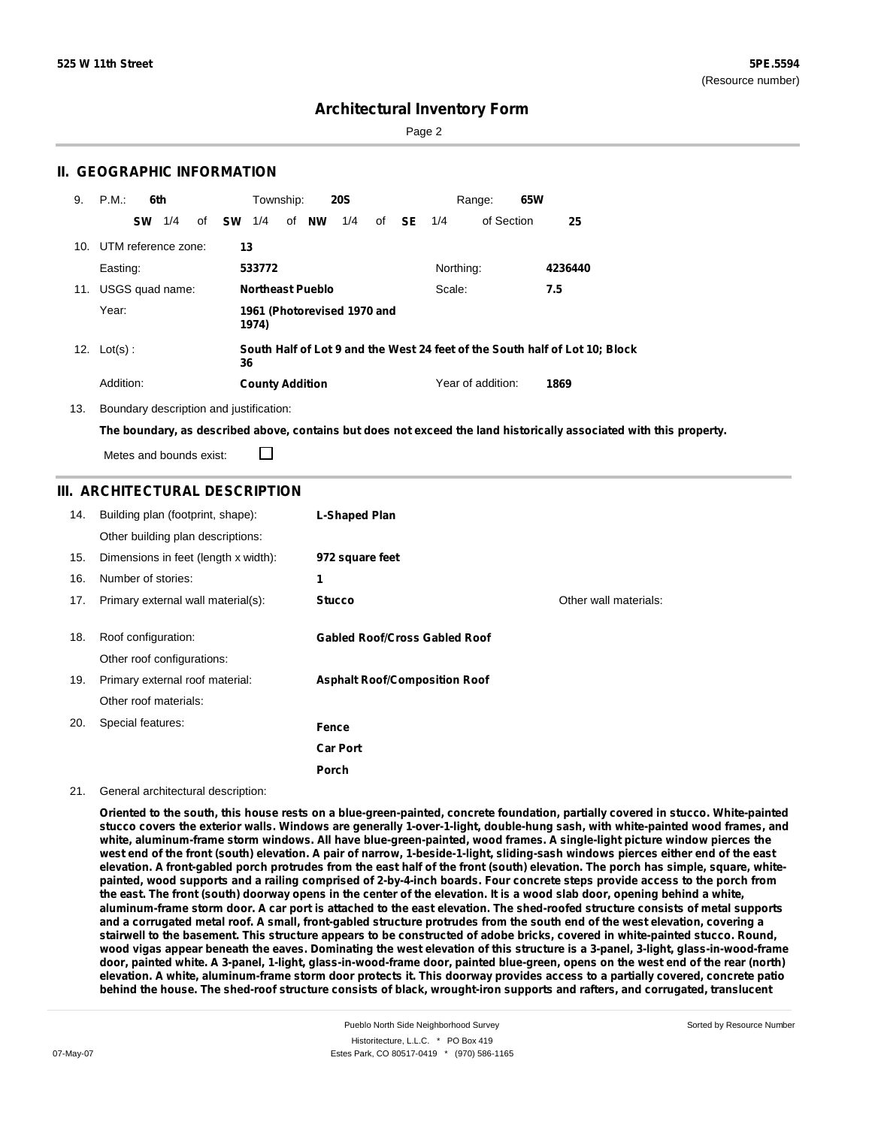Page 2

### **II. GEOGRAPHIC INFORMATION**

| 9. | P.M.                    |           | 6th |    |           | Township:              |    |                         | <b>20S</b>                  |    |      |           | 65W<br>Range:     |                                                                             |
|----|-------------------------|-----------|-----|----|-----------|------------------------|----|-------------------------|-----------------------------|----|------|-----------|-------------------|-----------------------------------------------------------------------------|
|    |                         | <b>SW</b> | 1/4 | of | <b>SW</b> | 1/4                    | of | NW                      | 1/4                         | of | - SE | 1/4       | of Section        | 25                                                                          |
|    | 10. UTM reference zone: |           |     |    | 13        |                        |    |                         |                             |    |      |           |                   |                                                                             |
|    | Easting:                |           |     |    |           | 533772                 |    |                         |                             |    |      | Northing: |                   | 4236440                                                                     |
|    | 11. USGS quad name:     |           |     |    |           |                        |    | <b>Northeast Pueblo</b> |                             |    |      | Scale:    |                   | 7.5                                                                         |
|    | Year:                   |           |     |    |           | 1974)                  |    |                         | 1961 (Photorevised 1970 and |    |      |           |                   |                                                                             |
|    | 12. $Lot(s)$ :          |           |     |    | 36        |                        |    |                         |                             |    |      |           |                   | South Half of Lot 9 and the West 24 feet of the South half of Lot 10; Block |
|    | Addition:               |           |     |    |           | <b>County Addition</b> |    |                         |                             |    |      |           | Year of addition: | 1869                                                                        |

13. Boundary description and justification:

□

The boundary, as described above, contains but does not exceed the land historically associated with this property.

Metes and bounds exist:

### **III. ARCHITECTURAL DESCRIPTION**

| 14. | Building plan (footprint, shape):<br>Other building plan descriptions: | L-Shaped Plan                        |                       |
|-----|------------------------------------------------------------------------|--------------------------------------|-----------------------|
| 15. | Dimensions in feet (length x width):                                   | 972 square feet                      |                       |
| 16. | Number of stories:                                                     | 1                                    |                       |
| 17. | Primary external wall material(s):                                     | <b>Stucco</b>                        | Other wall materials: |
|     |                                                                        |                                      |                       |
| 18. | Roof configuration:                                                    | <b>Gabled Roof/Cross Gabled Roof</b> |                       |
|     | Other roof configurations:                                             |                                      |                       |
| 19. | Primary external roof material:                                        | <b>Asphalt Roof/Composition Roof</b> |                       |
|     | Other roof materials:                                                  |                                      |                       |
| 20. | Special features:                                                      | Fence                                |                       |
|     |                                                                        | <b>Car Port</b>                      |                       |
|     |                                                                        | Porch                                |                       |

21. General architectural description:

Oriented to the south, this house rests on a blue-green-painted, concrete foundation, partially covered in stucco. White-painted stucco covers the exterior walls. Windows are generally 1-over-1-light, double-hung sash, with white-painted wood frames, and white, aluminum-frame storm windows. All have blue-green-painted, wood frames. A single-light picture window pierces the west end of the front (south) elevation. A pair of narrow, 1-beside-1-light, sliding-sash windows pierces either end of the east elevation. A front-gabled porch protrudes from the east half of the front (south) elevation. The porch has simple, square, whitepainted, wood supports and a railing comprised of 2-by-4-inch boards. Four concrete steps provide access to the porch from the east. The front (south) doorway opens in the center of the elevation. It is a wood slab door, opening behind a white, aluminum-frame storm door. A car port is attached to the east elevation. The shed-roofed structure consists of metal supports and a corrugated metal roof. A small, front-gabled structure protrudes from the south end of the west elevation, covering a stairwell to the basement. This structure appears to be constructed of adobe bricks, covered in white-painted stucco. Round, wood vigas appear beneath the eaves. Dominating the west elevation of this structure is a 3-panel, 3-light, glass-in-wood-frame door, painted white. A 3-panel, 1-light, glass-in-wood-frame door, painted blue-green, opens on the west end of the rear (north) elevation. A white, aluminum-frame storm door protects it. This doorway provides access to a partially covered, concrete patio behind the house. The shed-roof structure consists of black, wrought-iron supports and rafters, and corrugated, translucent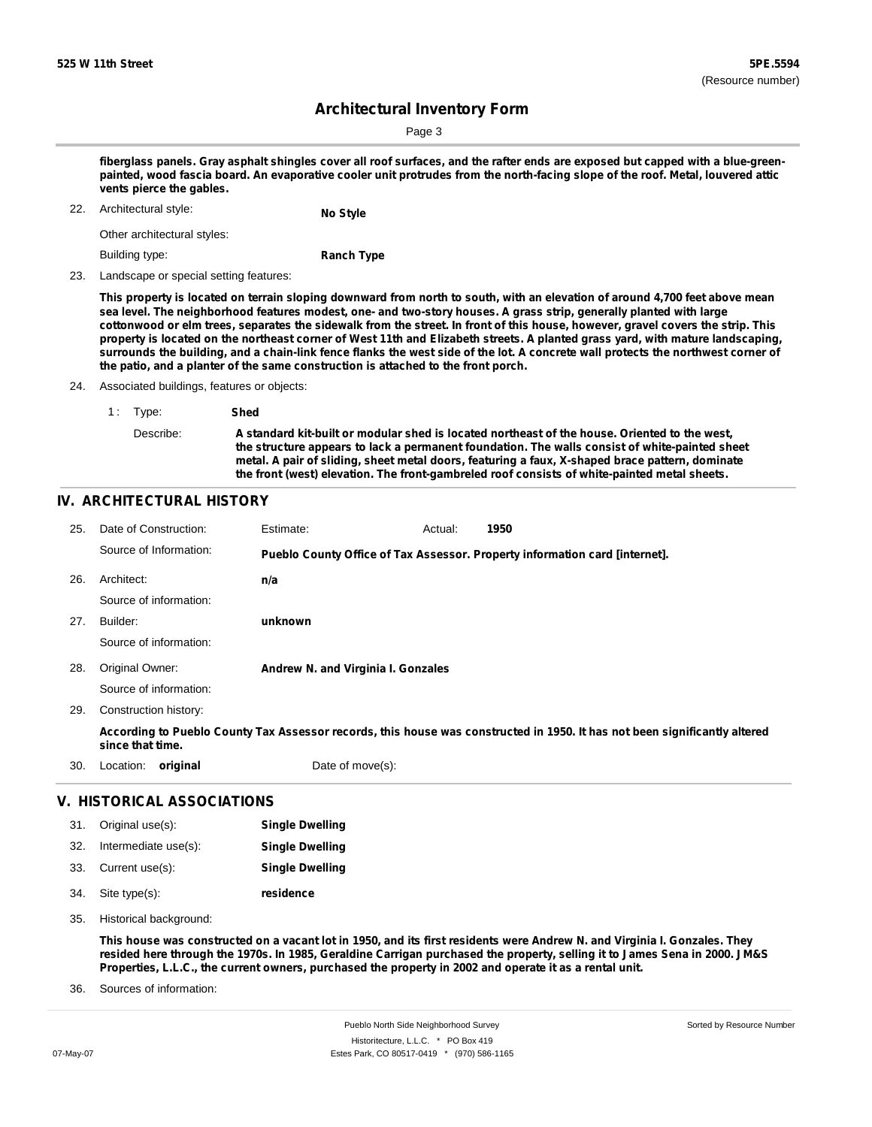Sorted by Resource Number

## **Architectural Inventory Form**

Page 3

fiberglass panels. Gray asphalt shingles cover all roof surfaces, and the rafter ends are exposed but capped with a blue-greenpainted, wood fascia board. An evaporative cooler unit protrudes from the north-facing slope of the roof. Metal, louvered attic **vents pierce the gables.**

22. Architectural style: **No Style**

Other architectural styles:

Building type:

**Ranch Type**

23. Landscape or special setting features:

This property is located on terrain sloping downward from north to south, with an elevation of around 4,700 feet above mean sea level. The neighborhood features modest, one- and two-story houses. A grass strip, generally planted with large cottonwood or elm trees, separates the sidewalk from the street. In front of this house, however, gravel covers the strip. This property is located on the northeast corner of West 11th and Elizabeth streets. A planted grass yard, with mature landscaping, surrounds the building, and a chain-link fence flanks the west side of the lot. A concrete wall protects the northwest corner of **the patio, and a planter of the same construction is attached to the front porch.**

24. Associated buildings, features or objects:

| 1: Type:  | Shed                                                                                                                                                                                                                                                                                                                                                                                               |
|-----------|----------------------------------------------------------------------------------------------------------------------------------------------------------------------------------------------------------------------------------------------------------------------------------------------------------------------------------------------------------------------------------------------------|
| Describe: | A standard kit-built or modular shed is located northeast of the house. Oriented to the west.<br>the structure appears to lack a permanent foundation. The walls consist of white-painted sheet<br>metal. A pair of sliding, sheet metal doors, featuring a faux, X-shaped brace pattern, dominate<br>the front (west) elevation. The front-gambreled roof consists of white-painted metal sheets. |

### **IV. ARCHITECTURAL HISTORY**

| 25. | Date of Construction:             | Estimate:                                                                                                                  | Actual: | 1950 |  |
|-----|-----------------------------------|----------------------------------------------------------------------------------------------------------------------------|---------|------|--|
|     | Source of Information:            | Pueblo County Office of Tax Assessor. Property information card [internet].                                                |         |      |  |
| 26. | Architect:                        | n/a                                                                                                                        |         |      |  |
|     | Source of information:            |                                                                                                                            |         |      |  |
| 27. | Builder:                          | unknown                                                                                                                    |         |      |  |
|     | Source of information:            |                                                                                                                            |         |      |  |
| 28. | Original Owner:                   | Andrew N. and Virginia I. Gonzales                                                                                         |         |      |  |
|     | Source of information:            |                                                                                                                            |         |      |  |
| 29. | Construction history:             |                                                                                                                            |         |      |  |
|     | since that time.                  | According to Pueblo County Tax Assessor records, this house was constructed in 1950. It has not been significantly altered |         |      |  |
| 30. | Location:<br>original             | Date of move(s):                                                                                                           |         |      |  |
|     | <b>V. HISTORICAL ASSOCIATIONS</b> |                                                                                                                            |         |      |  |

#### 31. Original use(s): **Single Dwelling**

| 32. | Intermediate use(s): | <b>Single Dwelling</b> |
|-----|----------------------|------------------------|
|     | 33. Current use(s):  | <b>Single Dwelling</b> |
|     | 34. Site type(s):    | residence              |

35. Historical background:

This house was constructed on a vacant lot in 1950, and its first residents were Andrew N. and Virginia I. Gonzales. They resided here through the 1970s. In 1985, Geraldine Carrigan purchased the property, selling it to James Sena in 2000. JM&S **Properties, L.L.C., the current owners, purchased the property in 2002 and operate it as a rental unit.**

Sources of information: 36.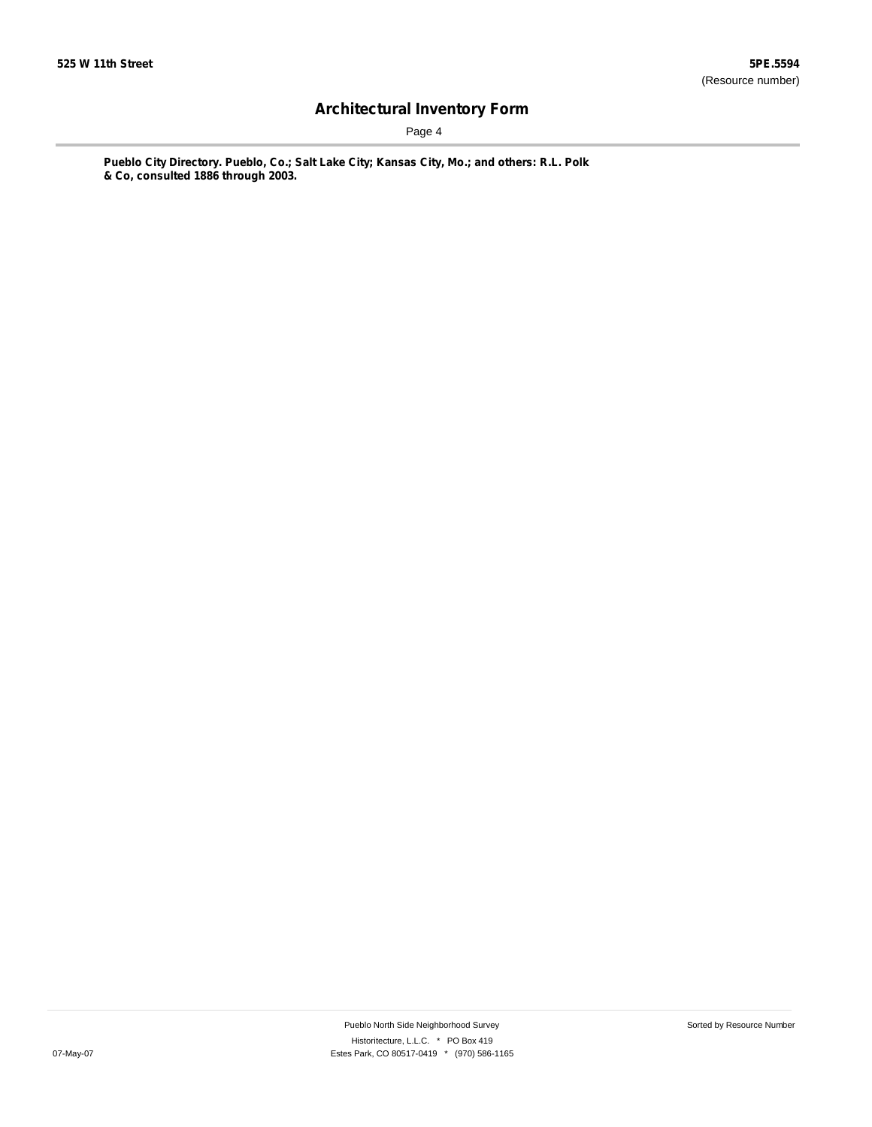Page 4

**Pueblo City Directory. Pueblo, Co.; Salt Lake City; Kansas City, Mo.; and others: R.L. Polk & Co, consulted 1886 through 2003.**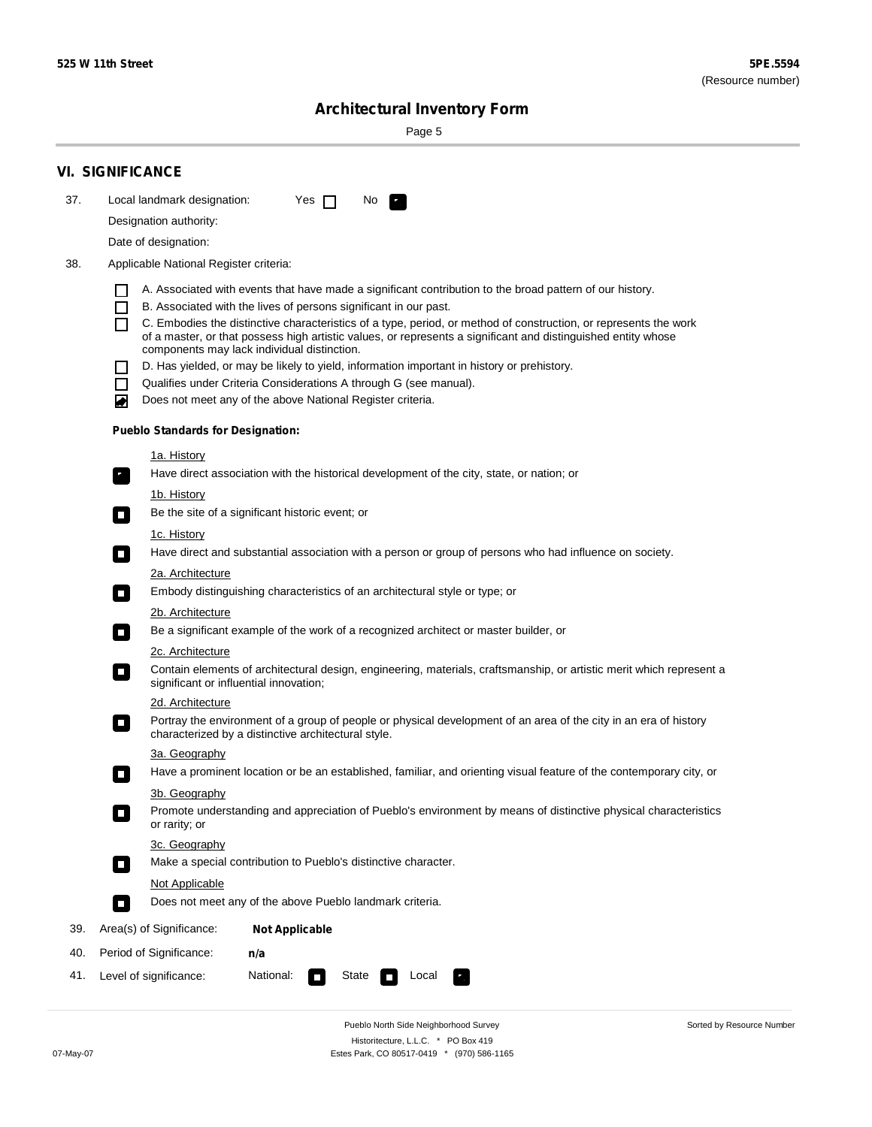Sorted by Resource Number

# **Architectural Inventory Form**

Page 5

|     | <b>VI. SIGNIFICANCE</b>                                                                                                                                                                                                                 |
|-----|-----------------------------------------------------------------------------------------------------------------------------------------------------------------------------------------------------------------------------------------|
| 37. | Local landmark designation:<br>Yes $\Box$<br>No.                                                                                                                                                                                        |
|     | Designation authority:                                                                                                                                                                                                                  |
|     | Date of designation:                                                                                                                                                                                                                    |
| 38. | Applicable National Register criteria:                                                                                                                                                                                                  |
|     | A. Associated with events that have made a significant contribution to the broad pattern of our history.                                                                                                                                |
|     | B. Associated with the lives of persons significant in our past.<br>ΙI                                                                                                                                                                  |
|     | C. Embodies the distinctive characteristics of a type, period, or method of construction, or represents the work<br>ΙI<br>of a master, or that possess high artistic values, or represents a significant and distinguished entity whose |
|     | components may lack individual distinction.<br>D. Has yielded, or may be likely to yield, information important in history or prehistory.                                                                                               |
|     | Qualifies under Criteria Considerations A through G (see manual).                                                                                                                                                                       |
|     | Does not meet any of the above National Register criteria.<br>O                                                                                                                                                                         |
|     | <b>Pueblo Standards for Designation:</b>                                                                                                                                                                                                |
|     | <u>1a. History</u>                                                                                                                                                                                                                      |
|     | Have direct association with the historical development of the city, state, or nation; or<br>$\mathbf{r}_\perp$                                                                                                                         |
|     | 1b. History                                                                                                                                                                                                                             |
|     | Be the site of a significant historic event; or<br>$\overline{\phantom{a}}$                                                                                                                                                             |
|     | 1c. History                                                                                                                                                                                                                             |
|     | Have direct and substantial association with a person or group of persons who had influence on society.<br>$\sim$                                                                                                                       |
|     | 2a. Architecture                                                                                                                                                                                                                        |
|     | Embody distinguishing characteristics of an architectural style or type; or<br>$\overline{\phantom{a}}$                                                                                                                                 |
|     | 2b. Architecture                                                                                                                                                                                                                        |
|     | Be a significant example of the work of a recognized architect or master builder, or<br>$\Box$                                                                                                                                          |
|     | 2c. Architecture                                                                                                                                                                                                                        |
|     | Contain elements of architectural design, engineering, materials, craftsmanship, or artistic merit which represent a<br>О<br>significant or influential innovation;                                                                     |
|     | 2d. Architecture                                                                                                                                                                                                                        |
|     | Portray the environment of a group of people or physical development of an area of the city in an era of history<br>$\Box$<br>characterized by a distinctive architectural style.                                                       |
|     | 3a. Geography                                                                                                                                                                                                                           |
|     | Have a prominent location or be an established, familiar, and orienting visual feature of the contemporary city, or<br>П                                                                                                                |
|     | 3b. Geography                                                                                                                                                                                                                           |
|     | Promote understanding and appreciation of Pueblo's environment by means of distinctive physical characteristics<br>$\sim$<br>or rarity; or                                                                                              |
|     | 3c. Geography<br>Make a special contribution to Pueblo's distinctive character.<br>$\Box$                                                                                                                                               |
|     | Not Applicable                                                                                                                                                                                                                          |
|     | Does not meet any of the above Pueblo landmark criteria.<br>$\overline{\phantom{a}}$                                                                                                                                                    |
| 39. | Area(s) of Significance:<br><b>Not Applicable</b>                                                                                                                                                                                       |
| 40. | Period of Significance:<br>n/a                                                                                                                                                                                                          |
| 41. | National:<br>Level of significance:<br>State<br>Local                                                                                                                                                                                   |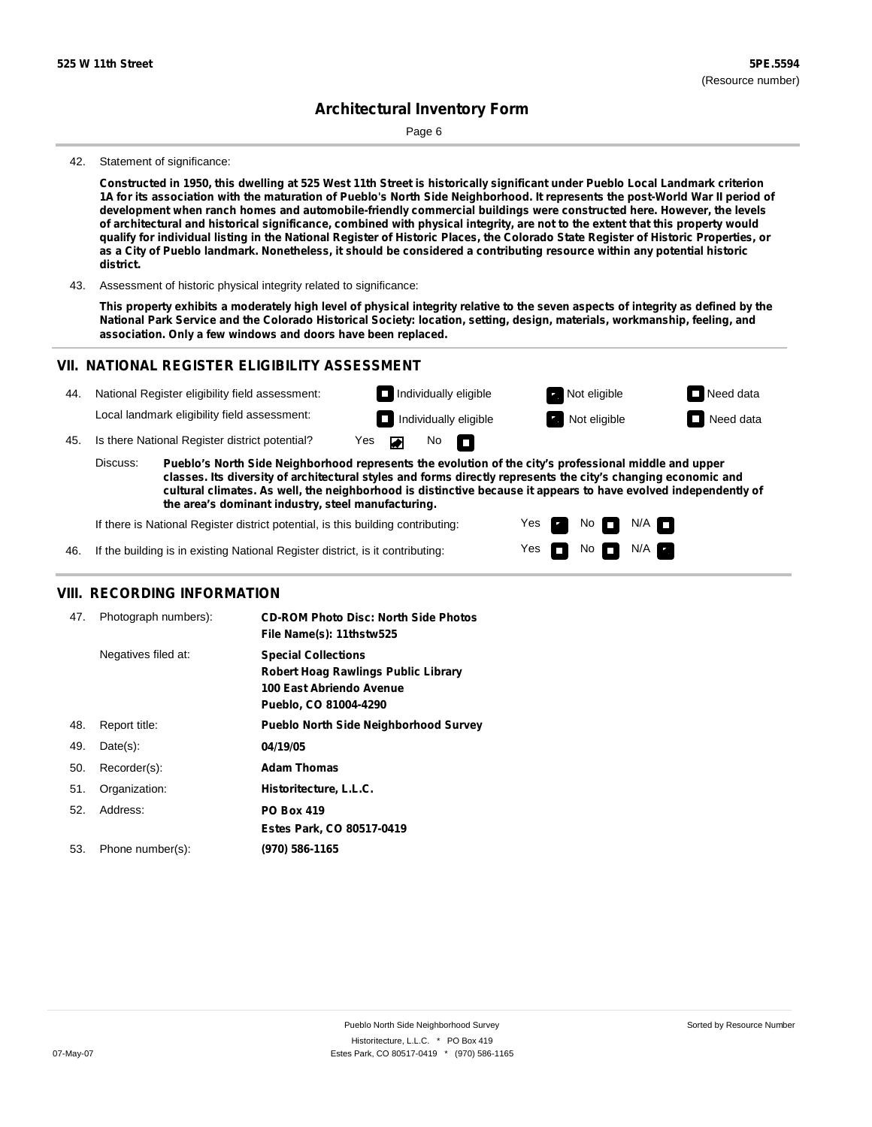Page 6

#### 42. Statement of significance:

Constructed in 1950, this dwelling at 525 West 11th Street is historically significant under Pueblo Local Landmark criterion 1A for its association with the maturation of Pueblo's North Side Neighborhood. It represents the post-World War II period of **development when ranch homes and automobile-friendly commercial buildings were constructed here. However, the levels** of architectural and historical significance, combined with physical integrity, are not to the extent that this property would qualify for individual listing in the National Register of Historic Places, the Colorado State Register of Historic Properties, or as a City of Pueblo landmark. Nonetheless, it should be considered a contributing resource within any potential historic **district.**

43. Assessment of historic physical integrity related to significance:

This property exhibits a moderately high level of physical integrity relative to the seven aspects of integrity as defined by the National Park Service and the Colorado Historical Society: location, setting, design, materials, workmanship, feeling, and **association. Only a few windows and doors have been replaced.**

### **VII. NATIONAL REGISTER ELIGIBILITY ASSESSMENT**

| 44. |                                                                                                                                                                                                                                                                                                                                                       | National Register eligibility field assessment: |     |  |                   | $\Box$ Individually eligible | Not eligible | $\Box$ Need data |
|-----|-------------------------------------------------------------------------------------------------------------------------------------------------------------------------------------------------------------------------------------------------------------------------------------------------------------------------------------------------------|-------------------------------------------------|-----|--|-------------------|------------------------------|--------------|------------------|
|     |                                                                                                                                                                                                                                                                                                                                                       | Local landmark eligibility field assessment:    |     |  |                   | $\Box$ Individually eligible | Not eligible | Need data        |
| 45. |                                                                                                                                                                                                                                                                                                                                                       | Is there National Register district potential?  | Yes |  | No $\blacksquare$ |                              |              |                  |
|     | Discuss:<br>Pueblo's North Side Neighborhood represents the evolution of the city's professional middle and upper<br>classes. Its diversity of architectural styles and forms directly represents the city's changing economic and<br>cultural climates. As well, the neighborhood is distinctive because it appears to have evolved independently of |                                                 |     |  |                   |                              |              |                  |

Yes Yes No

No FFI N/A

N/A

**the area's dominant industry, steel manufacturing.**

If there is National Register district potential, is this building contributing:

46. If the building is in existing National Register district, is it contributing:

### **VIII. RECORDING INFORMATION**

| 47. | Photograph numbers): | <b>CD-ROM Photo Disc: North Side Photos</b><br>File Name(s): 11thstw525                                                       |
|-----|----------------------|-------------------------------------------------------------------------------------------------------------------------------|
|     | Negatives filed at:  | <b>Special Collections</b><br><b>Robert Hoag Rawlings Public Library</b><br>100 East Abriendo Avenue<br>Pueblo, CO 81004-4290 |
| 48. | Report title:        | <b>Pueblo North Side Neighborhood Survey</b>                                                                                  |
| 49. | $Date(s)$ :          | 04/19/05                                                                                                                      |
| 50. | Recorder(s):         | <b>Adam Thomas</b>                                                                                                            |
| 51. | Organization:        | Historitecture, L.L.C.                                                                                                        |
| 52. | Address:             | <b>PO Box 419</b>                                                                                                             |
|     |                      | Estes Park, CO 80517-0419                                                                                                     |
| 53. | Phone number(s):     | (970) 586-1165                                                                                                                |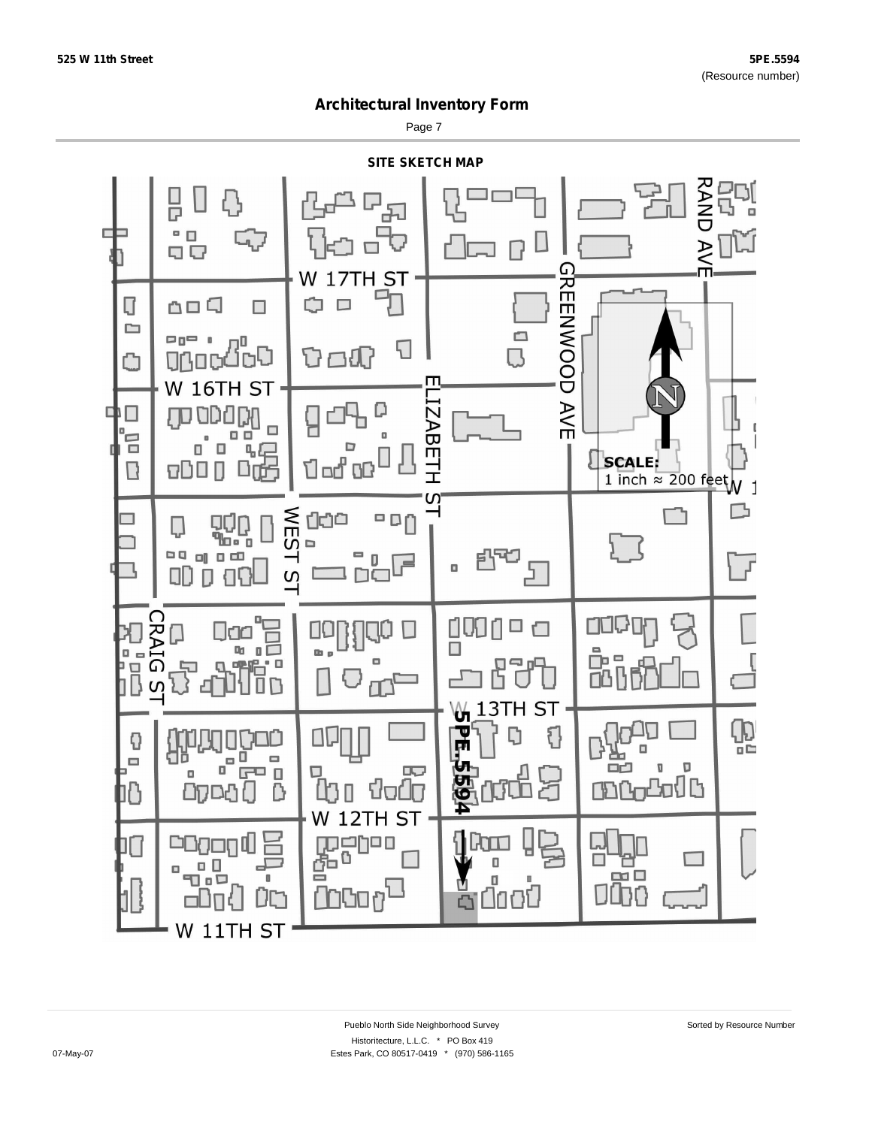Page 7